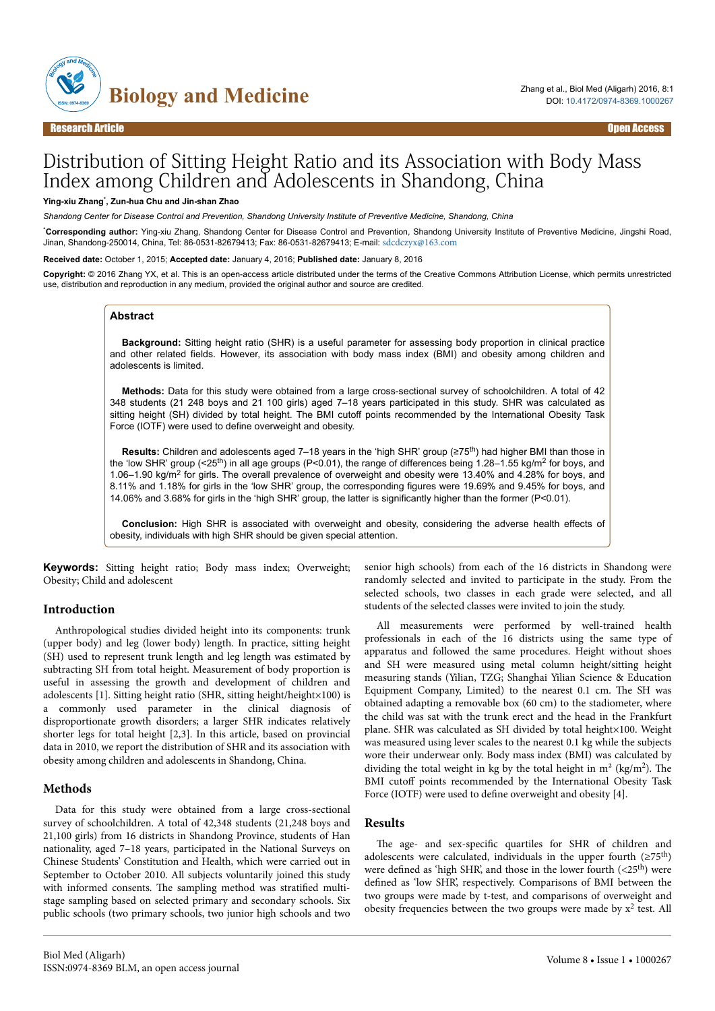

# Distribution of Sitting Height Ratio and its Association with Body Mass Index among Children and Adolescents in Shandong, China

#### **Ying-xiu Zhang**\* **, Zun-hua Chu and Jin-shan Zhao**

*Shandong Center for Disease Control and Prevention, Shandong University Institute of Preventive Medicine, Shandong, China*

\***Corresponding author:** Ying-xiu Zhang, Shandong Center for Disease Control and Prevention, Shandong University Institute of Preventive Medicine, Jingshi Road, Jinan, Shandong-250014, China, Tel: 86-0531-82679413; Fax: 86-0531-82679413; E-mail: [sdcdczyx@163.com](mailto:sdcdczyx@163.com)

**Received date:** October 1, 2015; **Accepted date:** January 4, 2016; **Published date:** January 8, 2016

**Copyright:** © 2016 Zhang YX, et al. This is an open-access article distributed under the terms of the Creative Commons Attribution License, which permits unrestricted use, distribution and reproduction in any medium, provided the original author and source are credited.

#### **Abstract**

**Background:** Sitting height ratio (SHR) is a useful parameter for assessing body proportion in clinical practice and other related fields. However, its association with body mass index (BMI) and obesity among children and adolescents is limited.

**Methods:** Data for this study were obtained from a large cross-sectional survey of schoolchildren. A total of 42 348 students (21 248 boys and 21 100 girls) aged 7–18 years participated in this study. SHR was calculated as sitting height (SH) divided by total height. The BMI cutoff points recommended by the International Obesity Task Force (IOTF) were used to define overweight and obesity.

**Results:** Children and adolescents aged 7–18 years in the 'high SHR' group (≥75<sup>th</sup>) had higher BMI than those in the 'low SHR' group (<25<sup>th</sup>) in all age groups (P<0.01), the range of differences being 1.28–1.55 kg/m<sup>2</sup> for boys, and 1.06-1.90 kg/m<sup>2</sup> for girls. The overall prevalence of overweight and obesity were 13.40% and 4.28% for boys, and 8.11% and 1.18% for girls in the 'low SHR' group, the corresponding figures were 19.69% and 9.45% for boys, and 14.06% and 3.68% for girls in the 'high SHR' group, the latter is significantly higher than the former (P<0.01).

**Conclusion:** High SHR is associated with overweight and obesity, considering the adverse health effects of obesity, individuals with high SHR should be given special attention.

**Keywords:** Sitting height ratio; Body mass index; Overweight; Obesity; Child and adolescent

#### **Introduction**

Anthropological studies divided height into its components: trunk (upper body) and leg (lower body) length. In practice, sitting height (SH) used to represent trunk length and leg length was estimated by subtracting SH from total height. Measurement of body proportion is useful in assessing the growth and development of children and adolescents [1]. Sitting height ratio (SHR, sitting height/height×100) is a commonly used parameter in the clinical diagnosis of disproportionate growth disorders; a larger SHR indicates relatively shorter legs for total height [2,3]. In this article, based on provincial data in 2010, we report the distribution of SHR and its association with obesity among children and adolescents in Shandong, China.

#### **Methods**

Data for this study were obtained from a large cross-sectional survey of schoolchildren. A total of 42,348 students (21,248 boys and 21,100 girls) from 16 districts in Shandong Province, students of Han nationality, aged 7–18 years, participated in the National Surveys on Chinese Students' Constitution and Health, which were carried out in September to October 2010. All subjects voluntarily joined this study with informed consents. The sampling method was stratified multistage sampling based on selected primary and secondary schools. Six public schools (two primary schools, two junior high schools and two

senior high schools) from each of the 16 districts in Shandong were randomly selected and invited to participate in the study. From the selected schools, two classes in each grade were selected, and all students of the selected classes were invited to join the study.

All measurements were performed by well-trained health professionals in each of the 16 districts using the same type of apparatus and followed the same procedures. Height without shoes and SH were measured using metal column height/sitting height measuring stands (Yilian, TZG; Shanghai Yilian Science & Education Equipment Company, Limited) to the nearest 0.1 cm. Нe SH was obtained adapting a removable box (60 cm) to the stadiometer, where the child was sat with the trunk erect and the head in the Frankfurt plane. SHR was calculated as SH divided by total height×100. Weight was measured using lever scales to the nearest 0.1 kg while the subjects wore their underwear only. Body mass index (BMI) was calculated by dividing the total weight in kg by the total height in  $m^2$  (kg/m<sup>2</sup>). The BMI cutoff points recommended by the International Obesity Task Force (IOTF) were used to define overweight and obesity [4].

#### **Results**

The age- and sex-specific quartiles for SHR of children and adolescents were calculated, individuals in the upper fourth ( $\geq 75$ <sup>th</sup>) were defined as 'high SHR', and those in the lower fourth (<25<sup>th</sup>) were defined as 'low SHR', respectively. Comparisons of BMI between the two groups were made by t-test, and comparisons of overweight and obesity frequencies between the two groups were made by  $x^2$  test. All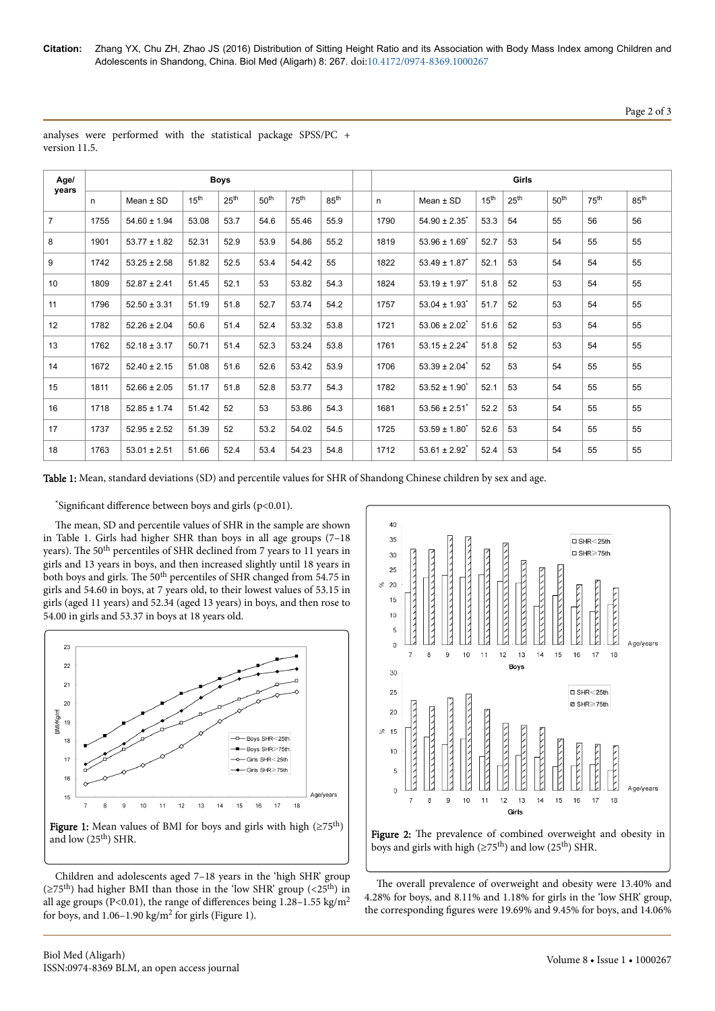# Page 2 of 3

| Age/<br>years  | <b>Boys</b> |                  |                  |                  |                  |                  |                  |  | Girls |                               |                  |                  |                  |                  |                  |
|----------------|-------------|------------------|------------------|------------------|------------------|------------------|------------------|--|-------|-------------------------------|------------------|------------------|------------------|------------------|------------------|
|                | n           | Mean $±$ SD      | 15 <sup>th</sup> | 25 <sup>th</sup> | 50 <sup>th</sup> | 75 <sup>th</sup> | 85 <sup>th</sup> |  | n.    | Mean $±$ SD                   | 15 <sup>th</sup> | 25 <sup>th</sup> | 50 <sup>th</sup> | 75 <sup>th</sup> | 85 <sup>th</sup> |
| $\overline{7}$ | 1755        | $54.60 \pm 1.94$ | 53.08            | 53.7             | 54.6             | 55.46            | 55.9             |  | 1790  | $54.90 \pm 2.35$              | 53.3             | 54               | 55               | 56               | 56               |
| 8              | 1901        | $53.77 \pm 1.82$ | 52.31            | 52.9             | 53.9             | 54.86            | 55.2             |  | 1819  | $53.96 \pm 1.69$ <sup>*</sup> | 52.7             | 53               | 54               | 55               | 55               |
| 9              | 1742        | $53.25 \pm 2.58$ | 51.82            | 52.5             | 53.4             | 54.42            | 55               |  | 1822  | $53.49 \pm 1.87$              | 52.1             | 53               | 54               | 54               | 55               |
| 10             | 1809        | $52.87 \pm 2.41$ | 51.45            | 52.1             | 53               | 53.82            | 54.3             |  | 1824  | $53.19 \pm 1.97$              | 51.8             | 52               | 53               | 54               | 55               |
| 11             | 1796        | $52.50 \pm 3.31$ | 51.19            | 51.8             | 52.7             | 53.74            | 54.2             |  | 1757  | $53.04 \pm 1.93$ <sup>*</sup> | 51.7             | 52               | 53               | 54               | 55               |
| 12             | 1782        | $52.26 \pm 2.04$ | 50.6             | 51.4             | 52.4             | 53.32            | 53.8             |  | 1721  | $53.06 \pm 2.02^*$            | 51.6             | 52               | 53               | 54               | 55               |
| 13             | 1762        | $52.18 \pm 3.17$ | 50.71            | 51.4             | 52.3             | 53.24            | 53.8             |  | 1761  | $53.15 \pm 2.24$ <sup>*</sup> | 51.8             | 52               | 53               | 54               | 55               |
| 14             | 1672        | $52.40 \pm 2.15$ | 51.08            | 51.6             | 52.6             | 53.42            | 53.9             |  | 1706  | $53.39 \pm 2.04$ <sup>*</sup> | 52               | 53               | 54               | 55               | 55               |
| 15             | 1811        | $52.66 \pm 2.05$ | 51.17            | 51.8             | 52.8             | 53.77            | 54.3             |  | 1782  | $53.52 \pm 1.90^{\circ}$      | 52.1             | 53               | 54               | 55               | 55               |
| 16             | 1718        | $52.85 \pm 1.74$ | 51.42            | 52               | 53               | 53.86            | 54.3             |  | 1681  | $53.56 \pm 2.51$              | 52.2             | 53               | 54               | 55               | 55               |
| 17             | 1737        | $52.95 \pm 2.52$ | 51.39            | 52               | 53.2             | 54.02            | 54.5             |  | 1725  | $53.59 \pm 1.80^*$            | 52.6             | 53               | 54               | 55               | 55               |
| 18             | 1763        | $53.01 \pm 2.51$ | 51.66            | 52.4             | 53.4             | 54.23            | 54.8             |  | 1712  | $53.61 \pm 2.92$ <sup>*</sup> | 52.4             | 53               | 54               | 55               | 55               |

analyses were performed with the statistical package SPSS/PC + version 11.5.

Table 1: Mean, standard deviations (SD) and percentile values for SHR of Shandong Chinese children by sex and age.

 $*$ Significant difference between boys and girls (p<0.01).

The mean, SD and percentile values of SHR in the sample are shown in Table 1. Girls had higher SHR than boys in all age groups (7–18 years). The 50<sup>th</sup> percentiles of SHR declined from 7 years to 11 years in girls and 13 years in boys, and then increased slightly until 18 years in both boys and girls. The 50<sup>th</sup> percentiles of SHR changed from 54.75 in girls and 54.60 in boys, at 7 years old, to their lowest values of 53.15 in girls (aged 11 years) and 52.34 (aged 13 years) in boys, and then rose to 54.00 in girls and 53.37 in boys at 18 years old.



Children and adolescents aged 7–18 years in the 'high SHR' group  $(\geq 75^{\text{th}})$  had higher BMI than those in the 'low SHR' group (<25<sup>th</sup>) in all age groups (P<0.01), the range of differences being  $1.28-1.55$  kg/m<sup>2</sup> for boys, and  $1.06-1.90$  kg/m<sup>2</sup> for girls (Figure 1).



The overall prevalence of overweight and obesity were 13.40% and 4.28% for boys, and 8.11% and 1.18% for girls in the 'low SHR' group, the corresponding figures were 19.69% and 9.45% for boys, and 14.06%